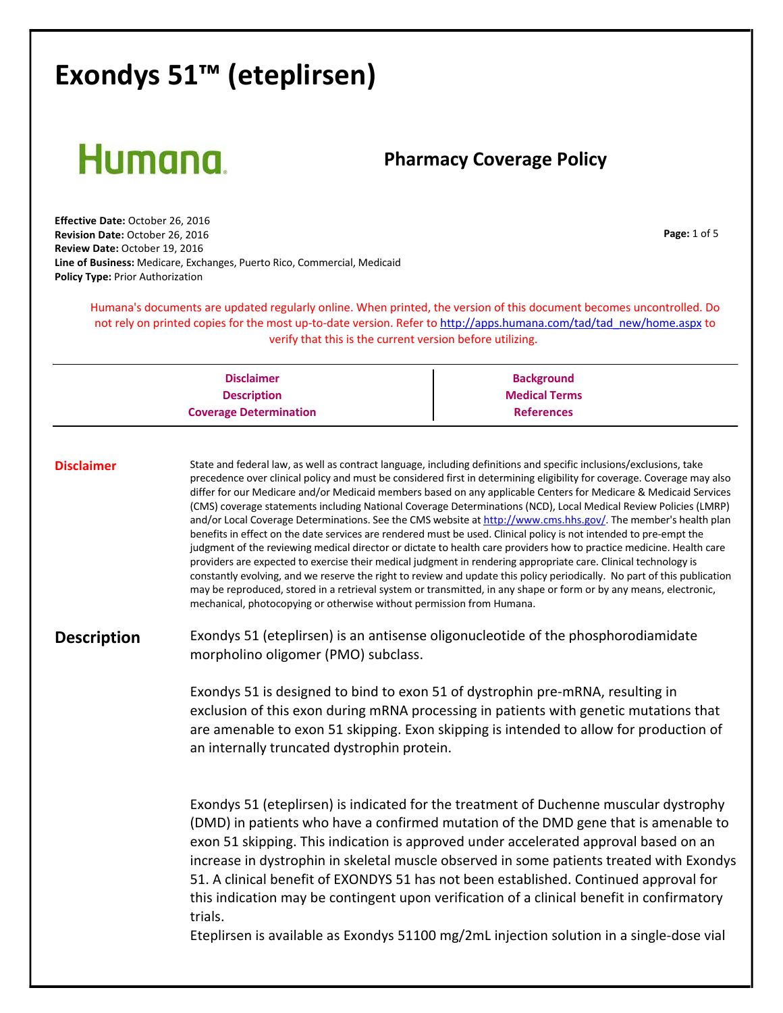# Humana.

### **Pharmacy Coverage Policy**

**Page:** 1 of 5

**Effective Date:** October 26, 2016 **Revision Date:** October 26, 2016 **Review Date:** October 19, 2016 **Line of Business:** Medicare, Exchanges, Puerto Rico, Commercial, Medicaid **Policy Type:** Prior Authorization

> Humana's documents are updated regularly online. When printed, the version of this document becomes uncontrolled. Do not rely on printed copies for the most up-to-date version. Refer to [http://apps.humana.com/tad/tad\\_new/home.aspx](http://apps.humana.com/tad/tad_new/home.aspx) to verify that this is the current version before utilizing.

| <b>Disclaimer</b>             | <b>Background</b>    |
|-------------------------------|----------------------|
| <b>Description</b>            | <b>Medical Terms</b> |
| <b>Coverage Determination</b> | <b>References</b>    |

**Disclaimer** State and federal law, as well as contract language, including definitions and specific inclusions/exclusions, take precedence over clinical policy and must be considered first in determining eligibility for coverage. Coverage may also differ for our Medicare and/or Medicaid members based on any applicable Centers for Medicare & Medicaid Services (CMS) coverage statements including National Coverage Determinations (NCD), Local Medical Review Policies (LMRP) and/or Local Coverage Determinations. See the CMS website at [http://www.cms.hhs.gov/.](http://www.cms.hhs.gov/) The member's health plan benefits in effect on the date services are rendered must be used. Clinical policy is not intended to pre‐empt the judgment of the reviewing medical director or dictate to health care providers how to practice medicine. Health care providers are expected to exercise their medical judgment in rendering appropriate care. Clinical technology is constantly evolving, and we reserve the right to review and update this policy periodically. No part of this publication may be reproduced, stored in a retrieval system or transmitted, in any shape or form or by any means, electronic, mechanical, photocopying or otherwise without permission from Humana.

**Description** Exondys 51 (eteplirsen) is an antisense oligonucleotide of the phosphorodiamidate morpholino oligomer (PMO) subclass.

> Exondys 51 is designed to bind to exon 51 of dystrophin pre‐mRNA, resulting in exclusion of this exon during mRNA processing in patients with genetic mutations that are amenable to exon 51 skipping. Exon skipping is intended to allow for production of an internally truncated dystrophin protein.

Exondys 51 (eteplirsen) is indicated for the treatment of Duchenne muscular dystrophy (DMD) in patients who have a confirmed mutation of the DMD gene that is amenable to exon 51 skipping. This indication is approved under accelerated approval based on an increase in dystrophin in skeletal muscle observed in some patients treated with Exondys 51. A clinical benefit of EXONDYS 51 has not been established. Continued approval for this indication may be contingent upon verification of a clinical benefit in confirmatory trials.

Eteplirsen is available as Exondys 51100 mg/2mL injection solution in a single‐dose vial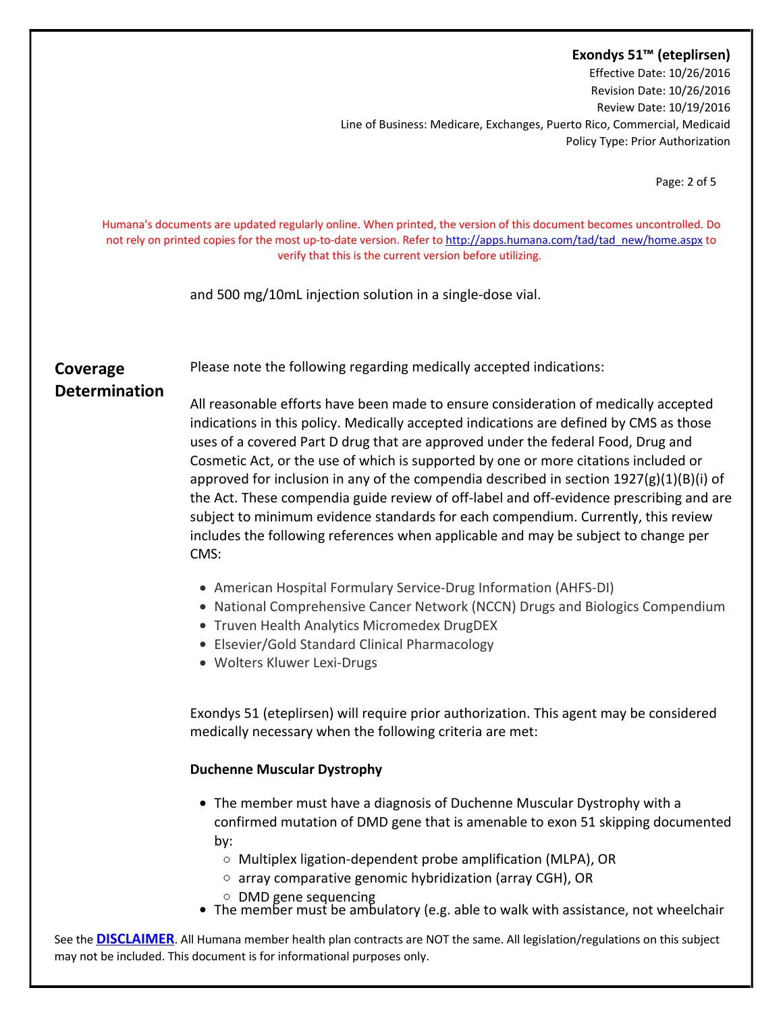Effective Date: 10/26/2016 Revision Date: 10/26/2016 Review Date: 10/19/2016 Line of Business: Medicare, Exchanges, Puerto Rico, Commercial, Medicaid Policy Type: Prior Authorization

Page: 2 of 5

Humana's documents are updated regularly online. When printed, the version of this document becomes uncontrolled. Do not rely on printed copies for the most up-to-date version. Refer to [http://apps.humana.com/tad/tad\\_new/home.aspx](http://apps.humana.com/tad/tad_new/home.aspx) to verify that this is the current version before utilizing.

and 500 mg/10mL injection solution in a single‐dose vial.

Please note the following regarding medically accepted indications:

#### **Coverage Determination**

All reasonable efforts have been made to ensure consideration of medically accepted indications in this policy. Medically accepted indications are defined by CMS as those uses of a covered Part D drug that are approved under the federal Food, Drug and Cosmetic Act, or the use of which is supported by one or more citations included or approved for inclusion in any of the compendia described in section  $1927(g)(1)(B)(i)$  of the Act. These compendia guide review of off‐label and off‐evidence prescribing and are subject to minimum evidence standards for each compendium. Currently, this review includes the following references when applicable and may be subject to change per CMS:

- American Hospital Formulary Service-Drug Information (AHFS-DI)
- National Comprehensive Cancer Network (NCCN) Drugs and Biologics Compendium
- Truven Health Analytics Micromedex DrugDEX
- Elsevier/Gold Standard Clinical Pharmacology
- Wolters Kluwer Lexi-Drugs

Exondys 51 (eteplirsen) will require prior authorization. This agent may be considered medically necessary when the following criteria are met:

#### **Duchenne Muscular Dystrophy**

- The member must have a diagnosis of Duchenne Muscular Dystrophy with a confirmed mutation of DMD gene that is amenable to exon 51 skipping documented by:
	- Multiplex ligation-dependent probe amplification (MLPA), OR
	- array comparative genomic hybridization (array CGH), OR
	- DMD gene sequencing
- The member must be ambulatory (e.g. able to walk with assistance, not wheelchair

See the **[DISCLAIMER](http://)**. All Humana member health plan contracts are NOT the same. All legislation/regulations on this subject may not be included. This document is for informational purposes only.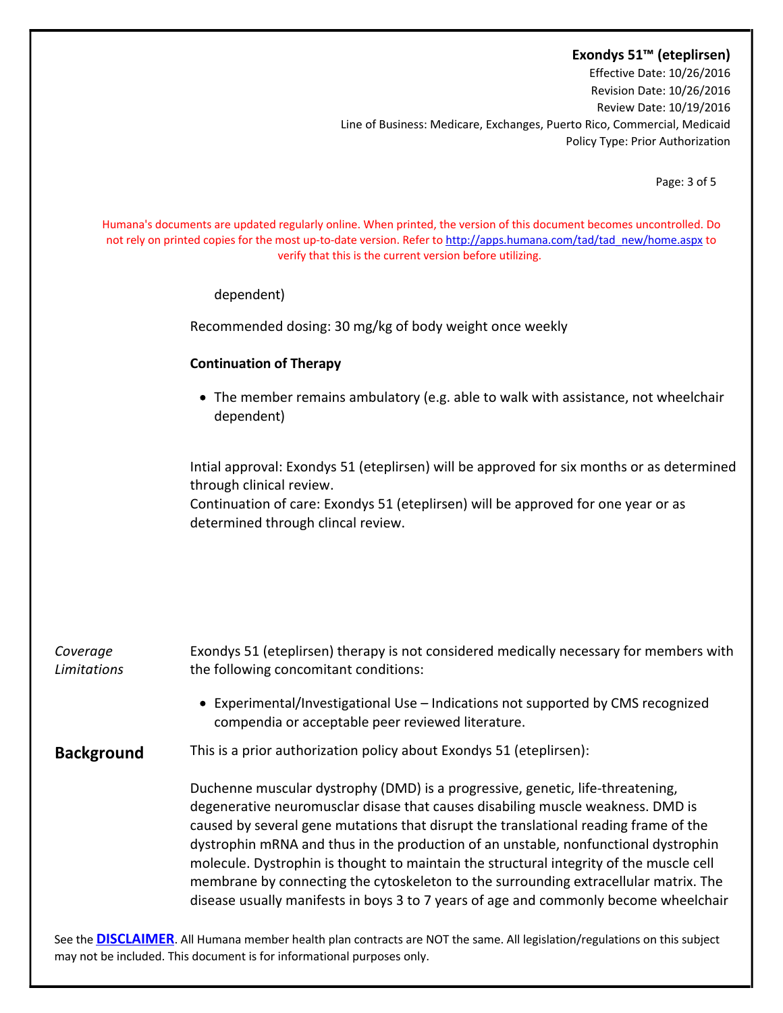Effective Date: 10/26/2016 Revision Date: 10/26/2016 Review Date: 10/19/2016 Line of Business: Medicare, Exchanges, Puerto Rico, Commercial, Medicaid Policy Type: Prior Authorization

Page: 3 of 5

Humana's documents are updated regularly online. When printed, the version of this document becomes uncontrolled. Do not rely on printed copies for the most up-to-date version. Refer to [http://apps.humana.com/tad/tad\\_new/home.aspx](http://apps.humana.com/tad/tad_new/home.aspx) to verify that this is the current version before utilizing.

dependent)

Recommended dosing: 30 mg/kg of body weight once weekly

#### **Continuation of Therapy**

• The member remains ambulatory (e.g. able to walk with assistance, not wheelchair dependent)

Intial approval: Exondys 51 (eteplirsen) will be approved for six months or as determined through clinical review.

Continuation of care: Exondys 51 (eteplirsen) will be approved for one year or as determined through clincal review.

| Coverage<br>Limitations | Exondys 51 (eteplirsen) therapy is not considered medically necessary for members with<br>the following concomitant conditions:                                                                                                                                                                                                                                                                                                                                                                                                                                                                                             |
|-------------------------|-----------------------------------------------------------------------------------------------------------------------------------------------------------------------------------------------------------------------------------------------------------------------------------------------------------------------------------------------------------------------------------------------------------------------------------------------------------------------------------------------------------------------------------------------------------------------------------------------------------------------------|
|                         | • Experimental/Investigational Use – Indications not supported by CMS recognized<br>compendia or acceptable peer reviewed literature.                                                                                                                                                                                                                                                                                                                                                                                                                                                                                       |
| <b>Background</b>       | This is a prior authorization policy about Exondys 51 (eteplirsen):                                                                                                                                                                                                                                                                                                                                                                                                                                                                                                                                                         |
|                         | Duchenne muscular dystrophy (DMD) is a progressive, genetic, life-threatening,<br>degenerative neuromusclar disase that causes disabiling muscle weakness. DMD is<br>caused by several gene mutations that disrupt the translational reading frame of the<br>dystrophin mRNA and thus in the production of an unstable, nonfunctional dystrophin<br>molecule. Dystrophin is thought to maintain the structural integrity of the muscle cell<br>membrane by connecting the cytoskeleton to the surrounding extracellular matrix. The<br>disease usually manifests in boys 3 to 7 years of age and commonly become wheelchair |
|                         |                                                                                                                                                                                                                                                                                                                                                                                                                                                                                                                                                                                                                             |

See the **[DISCLAIMER](http://)**. All Humana member health plan contracts are NOT the same. All legislation/regulations on this subject may not be included. This document is for informational purposes only.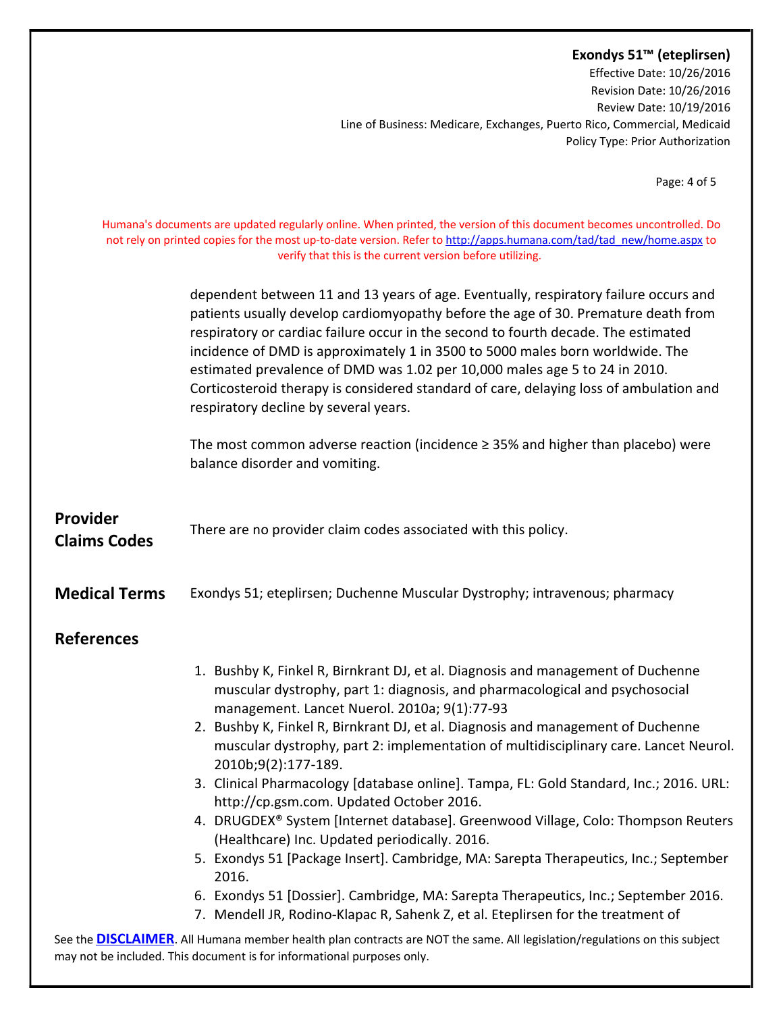Effective Date: 10/26/2016 Revision Date: 10/26/2016 Review Date: 10/19/2016 Line of Business: Medicare, Exchanges, Puerto Rico, Commercial, Medicaid Policy Type: Prior Authorization

Page: 4 of 5

Humana's documents are updated regularly online. When printed, the version of this document becomes uncontrolled. Do not rely on printed copies for the most up-to-date version. Refer to [http://apps.humana.com/tad/tad\\_new/home.aspx](http://apps.humana.com/tad/tad_new/home.aspx) to verify that this is the current version before utilizing.

> dependent between 11 and 13 years of age. Eventually, respiratory failure occurs and patients usually develop cardiomyopathy before the age of 30. Premature death from respiratory or cardiac failure occur in the second to fourth decade. The estimated incidence of DMD is approximately 1 in 3500 to 5000 males born worldwide. The estimated prevalence of DMD was 1.02 per 10,000 males age 5 to 24 in 2010. Corticosteroid therapy is considered standard of care, delaying loss of ambulation and respiratory decline by several years.

The most common adverse reaction (incidence ≥ 35% and higher than placebo) were balance disorder and vomiting.

| Provider<br><b>Claims Codes</b>                                                                                                                                                                             | There are no provider claim codes associated with this policy.                                                                                                                                                                                                                                                                                                                                                                                                                                                                                                                                                                                                                                                                                                                                                                                                                                                                                                             |
|-------------------------------------------------------------------------------------------------------------------------------------------------------------------------------------------------------------|----------------------------------------------------------------------------------------------------------------------------------------------------------------------------------------------------------------------------------------------------------------------------------------------------------------------------------------------------------------------------------------------------------------------------------------------------------------------------------------------------------------------------------------------------------------------------------------------------------------------------------------------------------------------------------------------------------------------------------------------------------------------------------------------------------------------------------------------------------------------------------------------------------------------------------------------------------------------------|
| <b>Medical Terms</b>                                                                                                                                                                                        | Exondys 51; eteplirsen; Duchenne Muscular Dystrophy; intravenous; pharmacy                                                                                                                                                                                                                                                                                                                                                                                                                                                                                                                                                                                                                                                                                                                                                                                                                                                                                                 |
| <b>References</b>                                                                                                                                                                                           |                                                                                                                                                                                                                                                                                                                                                                                                                                                                                                                                                                                                                                                                                                                                                                                                                                                                                                                                                                            |
|                                                                                                                                                                                                             | 1. Bushby K, Finkel R, Birnkrant DJ, et al. Diagnosis and management of Duchenne<br>muscular dystrophy, part 1: diagnosis, and pharmacological and psychosocial<br>management. Lancet Nuerol. 2010a; 9(1):77-93<br>2. Bushby K, Finkel R, Birnkrant DJ, et al. Diagnosis and management of Duchenne<br>muscular dystrophy, part 2: implementation of multidisciplinary care. Lancet Neurol.<br>2010b;9(2):177-189.<br>3. Clinical Pharmacology [database online]. Tampa, FL: Gold Standard, Inc.; 2016. URL:<br>http://cp.gsm.com. Updated October 2016.<br>4. DRUGDEX® System [Internet database]. Greenwood Village, Colo: Thompson Reuters<br>(Healthcare) Inc. Updated periodically. 2016.<br>5. Exondys 51 [Package Insert]. Cambridge, MA: Sarepta Therapeutics, Inc.; September<br>2016.<br>6. Exondys 51 [Dossier]. Cambridge, MA: Sarepta Therapeutics, Inc.; September 2016.<br>7. Mendell JR, Rodino-Klapac R, Sahenk Z, et al. Eteplirsen for the treatment of |
| See the <b>DISCLAIMER</b> . All Humana member health plan contracts are NOT the same. All legislation/regulations on this subject<br>may not be included. This document is for informational purposes only. |                                                                                                                                                                                                                                                                                                                                                                                                                                                                                                                                                                                                                                                                                                                                                                                                                                                                                                                                                                            |